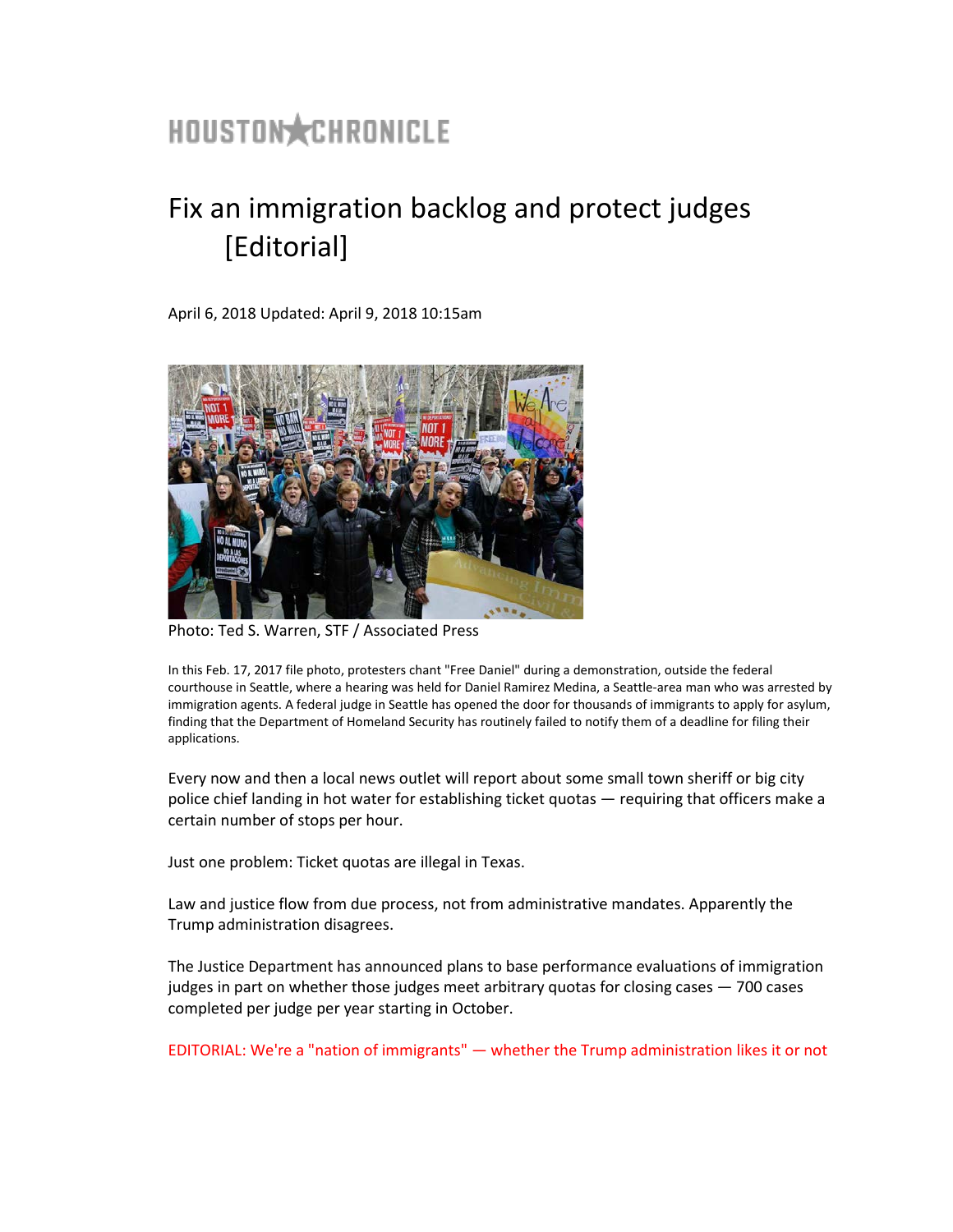## HOUSTON CHRONICLE

## Fix an immigration backlog and protect judges [Editorial]

April 6, 2018 Updated: April 9, 2018 10:15am



Photo: Ted S. Warren, STF / Associated Press

In this Feb. 17, 2017 file photo, protesters chant "Free Daniel" during a demonstration, outside the federal courthouse in Seattle, where a hearing was held for Daniel Ramirez Medina, a Seattle-area man who was arrested by immigration agents. A federal judge in Seattle has opened the door for thousands of immigrants to apply for asylum, finding that the Department of Homeland Security has routinely failed to notify them of a deadline for filing their applications.

Every now and then a local news outlet will report about some small town sheriff or big city police chief landing in hot water for establishing ticket quotas — requiring that officers make a certain number of stops per hour.

Just one problem: Ticket quotas are illegal in Texas.

Law and justice flow from due process, not from administrative mandates. Apparently the Trump administration disagrees.

The Justice Department has announced plans to base performance evaluations of immigration judges in part on whether those judges meet arbitrary quotas for closing cases — 700 cases completed per judge per year starting in October.

EDITORIAL: We're a "nation of immigrants" — [whether the Trump administration likes it or not](https://www.houstonchronicle.com/opinion/editorials/article/We-re-a-nation-of-immigrants-whether-12714760.php)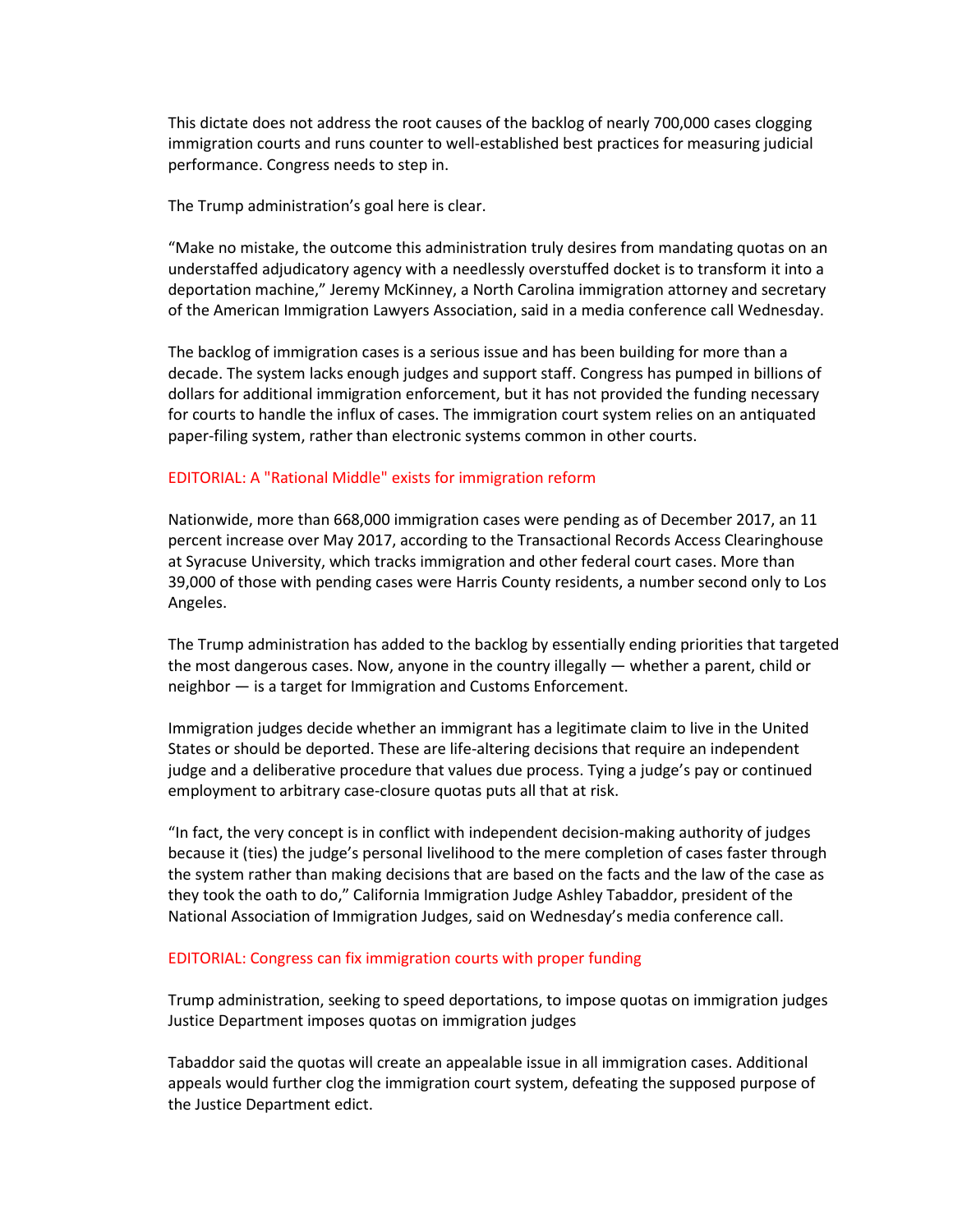This dictate does not address the root causes of the backlog of nearly 700,000 cases clogging immigration courts and runs counter to well-established best practices for measuring judicial performance. Congress needs to step in.

The Trump administration's goal here is clear.

"Make no mistake, the outcome this administration truly desires from mandating quotas on an understaffed adjudicatory agency with a needlessly overstuffed docket is to transform it into a deportation machine," Jeremy McKinney, a North Carolina immigration attorney and secretary of the American Immigration Lawyers Association, said in a media conference call Wednesday.

The backlog of immigration cases is a serious issue and has been building for more than a decade. The system lacks enough judges and support staff. Congress has pumped in billions of dollars for additional immigration enforcement, but it has not provided the funding necessary for courts to handle the influx of cases. The immigration court system relies on an antiquated paper-filing system, rather than electronic systems common in other courts.

## EDITORIAL: [A "Rational Middle" exists for immigration reform](https://www.houstonchronicle.com/opinion/editorials/article/A-Rational-Middle-exists-for-immigration-12750947.php)

Nationwide, more than 668,000 immigration cases were pending as of December 2017, an 11 percent increase over May 2017, according to the Transactional Records Access Clearinghouse at Syracuse University, which tracks immigration and other federal court cases. More than 39,000 of those with pending cases were Harris County residents, a number second only to Los Angeles.

The Trump administration has added to the backlog by essentially ending priorities that targeted the most dangerous cases. Now, anyone in the country illegally — whether a parent, child or neighbor — is a target for Immigration and Customs Enforcement.

Immigration judges decide whether an immigrant has a legitimate claim to live in the United States or should be deported. These are life-altering decisions that require an independent judge and a deliberative procedure that values due process. Tying a judge's pay or continued employment to arbitrary case-closure quotas puts all that at risk.

"In fact, the very concept is in conflict with independent decision-making authority of judges because it (ties) the judge's personal livelihood to the mere completion of cases faster through the system rather than making decisions that are based on the facts and the law of the case as they took the oath to do," California Immigration Judge Ashley Tabaddor, president of the National Association of Immigration Judges, said on Wednesday's media conference call.

## EDITORIAL: [Congress can fix immigration courts with proper funding](https://www.houstonchronicle.com/opinion/editorials/article/Wait-times-6931142.php)

[Trump administration, seeking to speed deportations, to impose quotas on immigration judges](https://www.houstonchronicle.com/news/article/Trump-administration-seeking-to-speed-12800384.php?source=nlp) [Justice Department imposes quotas on immigration judges](https://www.houstonchronicle.com/news/politics/article/Justice-Department-imposes-quotas-on-immigration-12800418.php?source=nlp)

Tabaddor said the quotas will create an appealable issue in all immigration cases. Additional appeals would further clog the immigration court system, defeating the supposed purpose of the Justice Department edict.